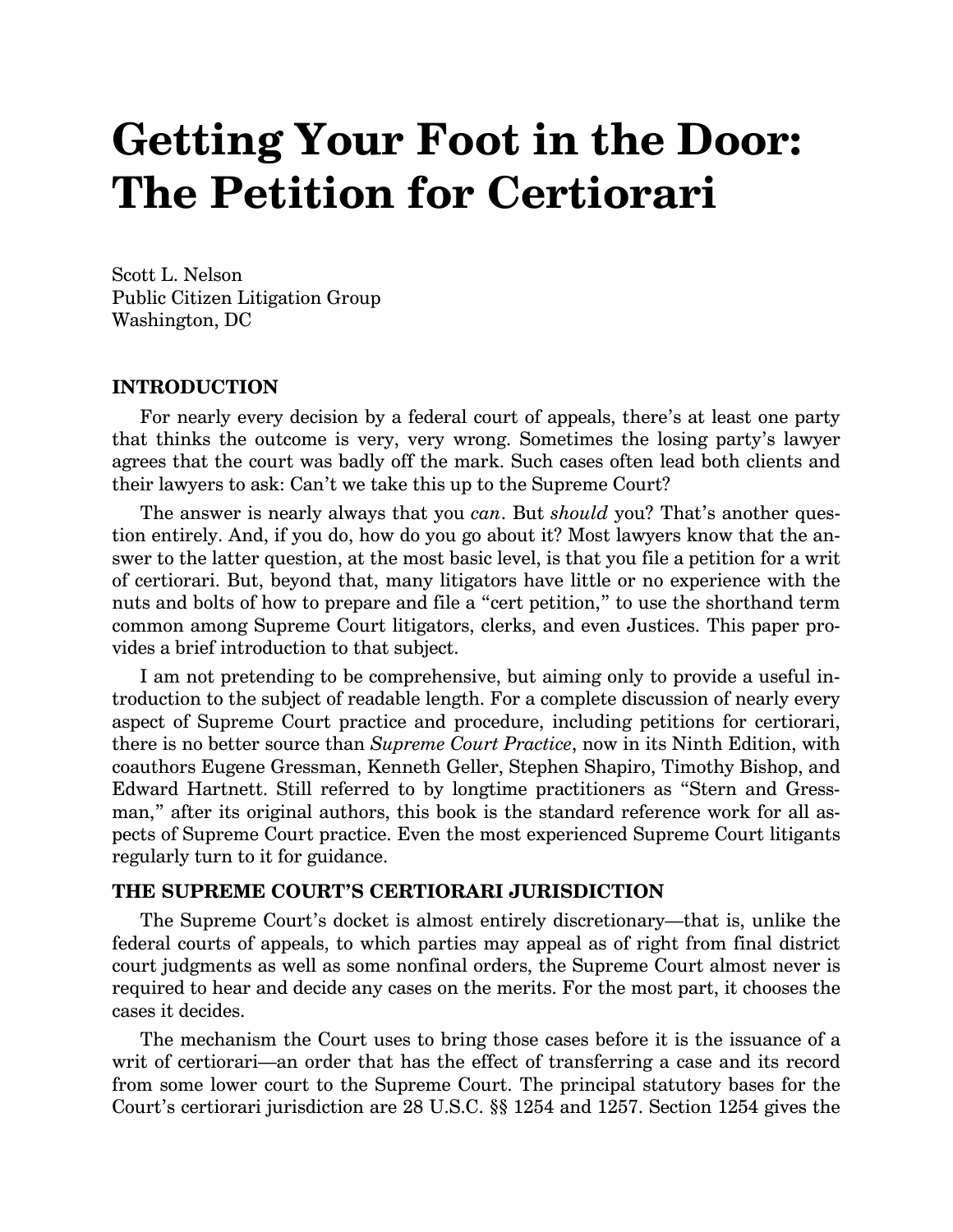# **Getting Your Foot in the Door: The Petition for Certiorari**

Scott L. Nelson Public Citizen Litigation Group Washington, DC

#### **INTRODUCTION**

For nearly every decision by a federal court of appeals, there's at least one party that thinks the outcome is very, very wrong. Sometimes the losing party's lawyer agrees that the court was badly off the mark. Such cases often lead both clients and their lawyers to ask: Can't we take this up to the Supreme Court?

The answer is nearly always that you *can*. But *should* you? That's another question entirely. And, if you do, how do you go about it? Most lawyers know that the answer to the latter question, at the most basic level, is that you file a petition for a writ of certiorari. But, beyond that, many litigators have little or no experience with the nuts and bolts of how to prepare and file a "cert petition," to use the shorthand term common among Supreme Court litigators, clerks, and even Justices. This paper provides a brief introduction to that subject.

I am not pretending to be comprehensive, but aiming only to provide a useful introduction to the subject of readable length. For a complete discussion of nearly every aspect of Supreme Court practice and procedure, including petitions for certiorari, there is no better source than *Supreme Court Practice*, now in its Ninth Edition, with coauthors Eugene Gressman, Kenneth Geller, Stephen Shapiro, Timothy Bishop, and Edward Hartnett. Still referred to by longtime practitioners as "Stern and Gressman," after its original authors, this book is the standard reference work for all aspects of Supreme Court practice. Even the most experienced Supreme Court litigants regularly turn to it for guidance.

#### **THE SUPREME COURT'S CERTIORARI JURISDICTION**

The Supreme Court's docket is almost entirely discretionary—that is, unlike the federal courts of appeals, to which parties may appeal as of right from final district court judgments as well as some nonfinal orders, the Supreme Court almost never is required to hear and decide any cases on the merits. For the most part, it chooses the cases it decides.

The mechanism the Court uses to bring those cases before it is the issuance of a writ of certiorari—an order that has the effect of transferring a case and its record from some lower court to the Supreme Court. The principal statutory bases for the Court's certiorari jurisdiction are 28 U.S.C. §§ 1254 and 1257. Section 1254 gives the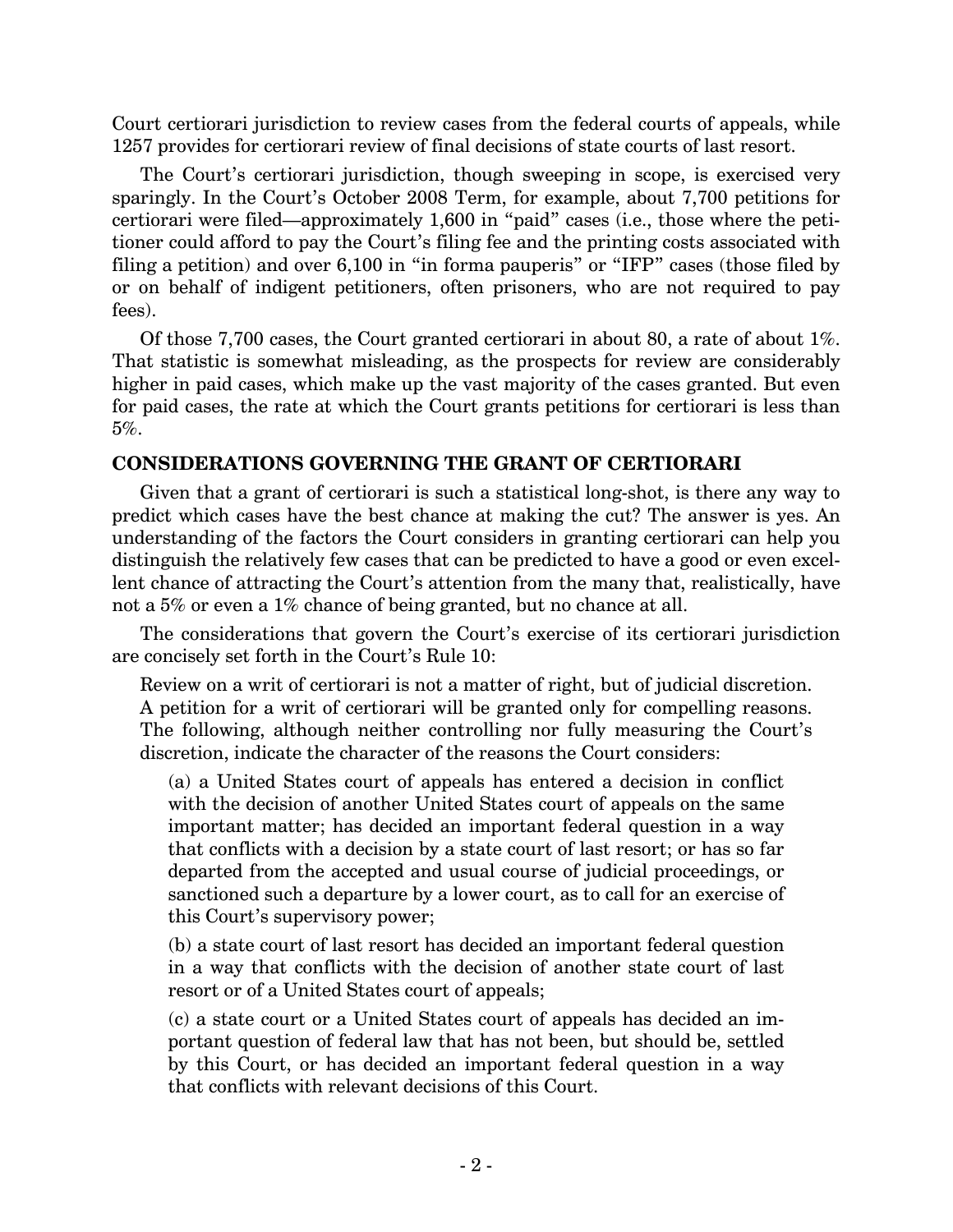Court certiorari jurisdiction to review cases from the federal courts of appeals, while 1257 provides for certiorari review of final decisions of state courts of last resort.

The Court's certiorari jurisdiction, though sweeping in scope, is exercised very sparingly. In the Court's October 2008 Term, for example, about 7,700 petitions for certiorari were filed—approximately 1,600 in "paid" cases (i.e., those where the petitioner could afford to pay the Court's filing fee and the printing costs associated with filing a petition) and over 6,100 in "in forma pauperis" or "IFP" cases (those filed by or on behalf of indigent petitioners, often prisoners, who are not required to pay fees).

Of those 7,700 cases, the Court granted certiorari in about 80, a rate of about 1%. That statistic is somewhat misleading, as the prospects for review are considerably higher in paid cases, which make up the vast majority of the cases granted. But even for paid cases, the rate at which the Court grants petitions for certiorari is less than 5%.

# **CONSIDERATIONS GOVERNING THE GRANT OF CERTIORARI**

Given that a grant of certiorari is such a statistical long-shot, is there any way to predict which cases have the best chance at making the cut? The answer is yes. An understanding of the factors the Court considers in granting certiorari can help you distinguish the relatively few cases that can be predicted to have a good or even excellent chance of attracting the Court's attention from the many that, realistically, have not a 5% or even a 1% chance of being granted, but no chance at all.

The considerations that govern the Court's exercise of its certiorari jurisdiction are concisely set forth in the Court's Rule 10:

Review on a writ of certiorari is not a matter of right, but of judicial discretion. A petition for a writ of certiorari will be granted only for compelling reasons. The following, although neither controlling nor fully measuring the Court's discretion, indicate the character of the reasons the Court considers:

(a) a United States court of appeals has entered a decision in conflict with the decision of another United States court of appeals on the same important matter; has decided an important federal question in a way that conflicts with a decision by a state court of last resort; or has so far departed from the accepted and usual course of judicial proceedings, or sanctioned such a departure by a lower court, as to call for an exercise of this Court's supervisory power;

(b) a state court of last resort has decided an important federal question in a way that conflicts with the decision of another state court of last resort or of a United States court of appeals;

(c) a state court or a United States court of appeals has decided an important question of federal law that has not been, but should be, settled by this Court, or has decided an important federal question in a way that conflicts with relevant decisions of this Court.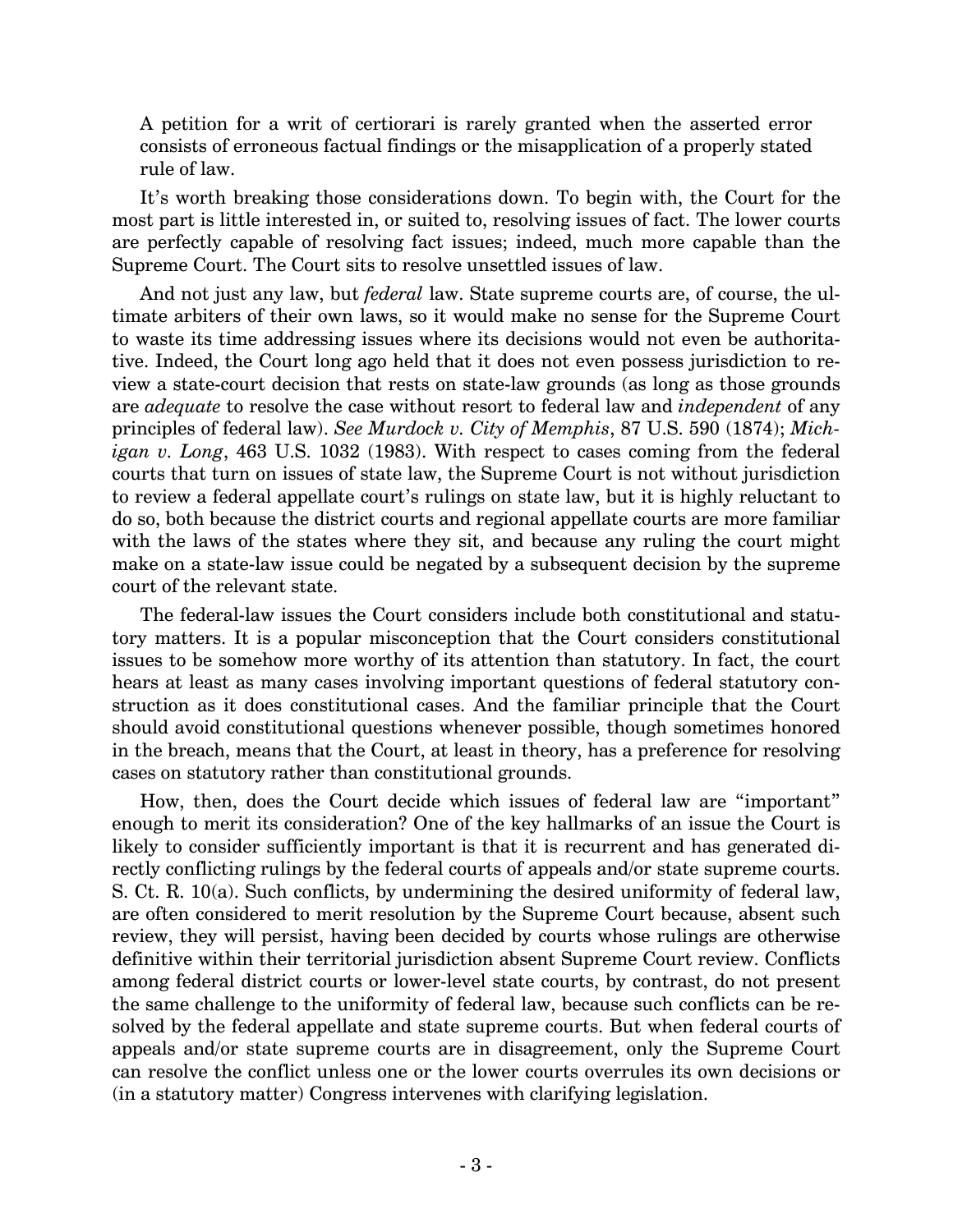A petition for a writ of certiorari is rarely granted when the asserted error consists of erroneous factual findings or the misapplication of a properly stated rule of law.

It's worth breaking those considerations down. To begin with, the Court for the most part is little interested in, or suited to, resolving issues of fact. The lower courts are perfectly capable of resolving fact issues; indeed, much more capable than the Supreme Court. The Court sits to resolve unsettled issues of law.

And not just any law, but *federal* law. State supreme courts are, of course, the ultimate arbiters of their own laws, so it would make no sense for the Supreme Court to waste its time addressing issues where its decisions would not even be authoritative. Indeed, the Court long ago held that it does not even possess jurisdiction to review a state-court decision that rests on state-law grounds (as long as those grounds are *adequate* to resolve the case without resort to federal law and *independent* of any principles of federal law). *See Murdock v. City of Memphis*, 87 U.S. 590 (1874); *Michigan v. Long*, 463 U.S. 1032 (1983). With respect to cases coming from the federal courts that turn on issues of state law, the Supreme Court is not without jurisdiction to review a federal appellate court's rulings on state law, but it is highly reluctant to do so, both because the district courts and regional appellate courts are more familiar with the laws of the states where they sit, and because any ruling the court might make on a state-law issue could be negated by a subsequent decision by the supreme court of the relevant state.

The federal-law issues the Court considers include both constitutional and statutory matters. It is a popular misconception that the Court considers constitutional issues to be somehow more worthy of its attention than statutory. In fact, the court hears at least as many cases involving important questions of federal statutory construction as it does constitutional cases. And the familiar principle that the Court should avoid constitutional questions whenever possible, though sometimes honored in the breach, means that the Court, at least in theory, has a preference for resolving cases on statutory rather than constitutional grounds.

How, then, does the Court decide which issues of federal law are "important" enough to merit its consideration? One of the key hallmarks of an issue the Court is likely to consider sufficiently important is that it is recurrent and has generated directly conflicting rulings by the federal courts of appeals and/or state supreme courts. S. Ct. R. 10(a). Such conflicts, by undermining the desired uniformity of federal law, are often considered to merit resolution by the Supreme Court because, absent such review, they will persist, having been decided by courts whose rulings are otherwise definitive within their territorial jurisdiction absent Supreme Court review. Conflicts among federal district courts or lower-level state courts, by contrast, do not present the same challenge to the uniformity of federal law, because such conflicts can be resolved by the federal appellate and state supreme courts. But when federal courts of appeals and/or state supreme courts are in disagreement, only the Supreme Court can resolve the conflict unless one or the lower courts overrules its own decisions or (in a statutory matter) Congress intervenes with clarifying legislation.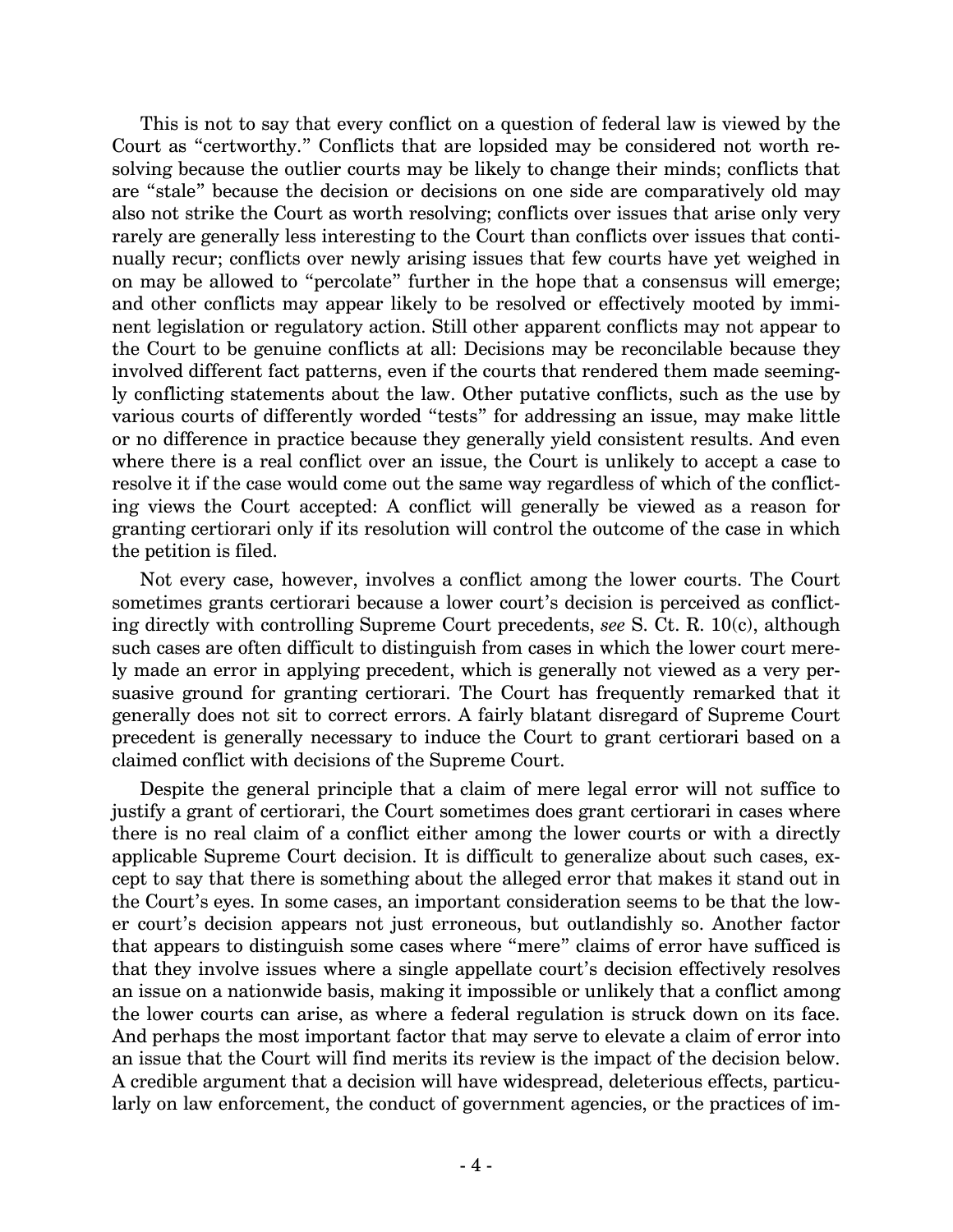This is not to say that every conflict on a question of federal law is viewed by the Court as "certworthy." Conflicts that are lopsided may be considered not worth resolving because the outlier courts may be likely to change their minds; conflicts that are "stale" because the decision or decisions on one side are comparatively old may also not strike the Court as worth resolving; conflicts over issues that arise only very rarely are generally less interesting to the Court than conflicts over issues that continually recur; conflicts over newly arising issues that few courts have yet weighed in on may be allowed to "percolate" further in the hope that a consensus will emerge; and other conflicts may appear likely to be resolved or effectively mooted by imminent legislation or regulatory action. Still other apparent conflicts may not appear to the Court to be genuine conflicts at all: Decisions may be reconcilable because they involved different fact patterns, even if the courts that rendered them made seemingly conflicting statements about the law. Other putative conflicts, such as the use by various courts of differently worded "tests" for addressing an issue, may make little or no difference in practice because they generally yield consistent results. And even where there is a real conflict over an issue, the Court is unlikely to accept a case to resolve it if the case would come out the same way regardless of which of the conflicting views the Court accepted: A conflict will generally be viewed as a reason for granting certiorari only if its resolution will control the outcome of the case in which the petition is filed.

Not every case, however, involves a conflict among the lower courts. The Court sometimes grants certiorari because a lower court's decision is perceived as conflicting directly with controlling Supreme Court precedents, *see* S. Ct. R. 10(c), although such cases are often difficult to distinguish from cases in which the lower court merely made an error in applying precedent, which is generally not viewed as a very persuasive ground for granting certiorari. The Court has frequently remarked that it generally does not sit to correct errors. A fairly blatant disregard of Supreme Court precedent is generally necessary to induce the Court to grant certiorari based on a claimed conflict with decisions of the Supreme Court.

Despite the general principle that a claim of mere legal error will not suffice to justify a grant of certiorari, the Court sometimes does grant certiorari in cases where there is no real claim of a conflict either among the lower courts or with a directly applicable Supreme Court decision. It is difficult to generalize about such cases, except to say that there is something about the alleged error that makes it stand out in the Court's eyes. In some cases, an important consideration seems to be that the lower court's decision appears not just erroneous, but outlandishly so. Another factor that appears to distinguish some cases where "mere" claims of error have sufficed is that they involve issues where a single appellate court's decision effectively resolves an issue on a nationwide basis, making it impossible or unlikely that a conflict among the lower courts can arise, as where a federal regulation is struck down on its face. And perhaps the most important factor that may serve to elevate a claim of error into an issue that the Court will find merits its review is the impact of the decision below. A credible argument that a decision will have widespread, deleterious effects, particularly on law enforcement, the conduct of government agencies, or the practices of im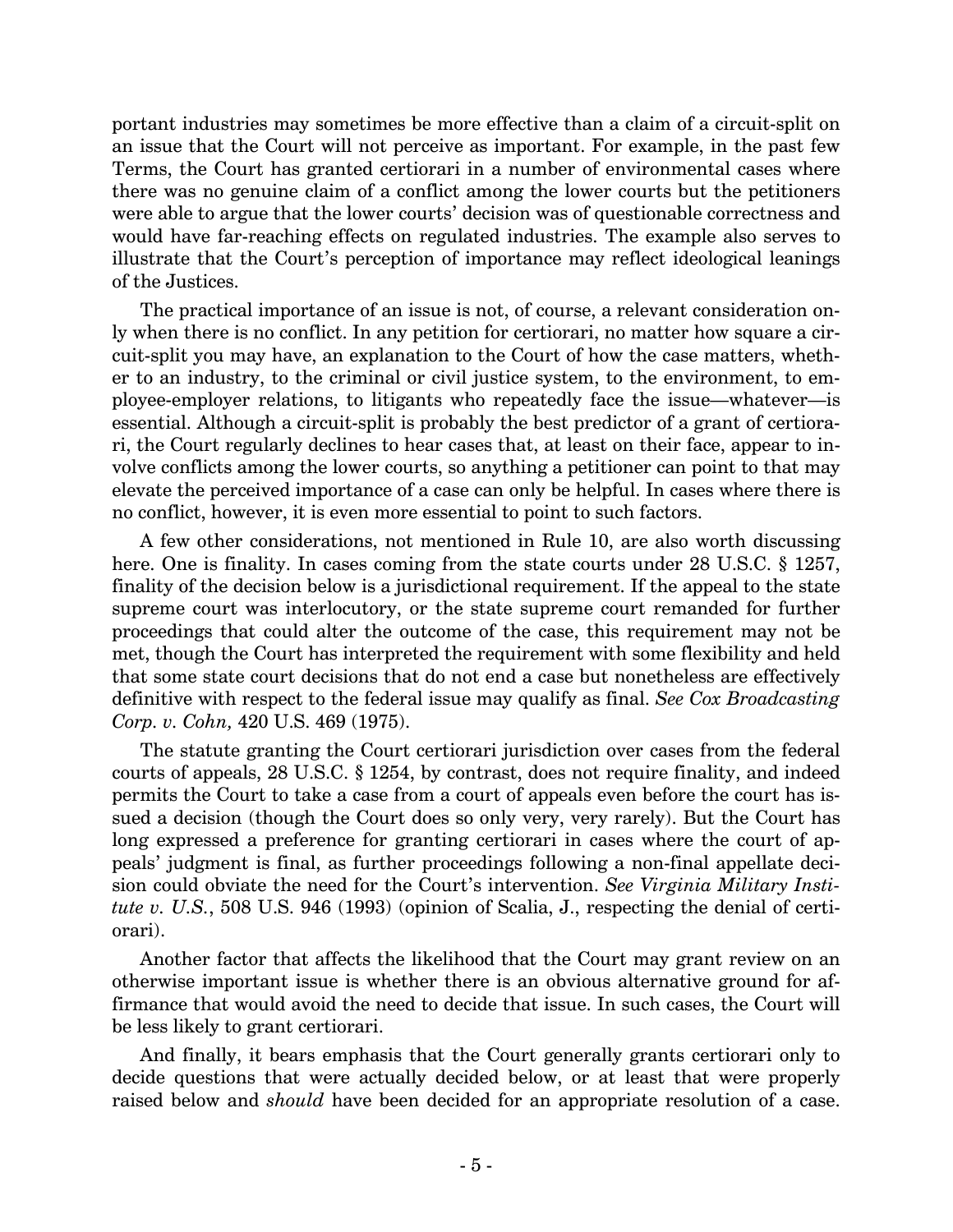portant industries may sometimes be more effective than a claim of a circuit-split on an issue that the Court will not perceive as important. For example, in the past few Terms, the Court has granted certiorari in a number of environmental cases where there was no genuine claim of a conflict among the lower courts but the petitioners were able to argue that the lower courts' decision was of questionable correctness and would have far-reaching effects on regulated industries. The example also serves to illustrate that the Court's perception of importance may reflect ideological leanings of the Justices.

The practical importance of an issue is not, of course, a relevant consideration only when there is no conflict. In any petition for certiorari, no matter how square a circuit-split you may have, an explanation to the Court of how the case matters, whether to an industry, to the criminal or civil justice system, to the environment, to employee-employer relations, to litigants who repeatedly face the issue—whatever—is essential. Although a circuit-split is probably the best predictor of a grant of certiorari, the Court regularly declines to hear cases that, at least on their face, appear to involve conflicts among the lower courts, so anything a petitioner can point to that may elevate the perceived importance of a case can only be helpful. In cases where there is no conflict, however, it is even more essential to point to such factors.

A few other considerations, not mentioned in Rule 10, are also worth discussing here. One is finality. In cases coming from the state courts under 28 U.S.C. § 1257, finality of the decision below is a jurisdictional requirement. If the appeal to the state supreme court was interlocutory, or the state supreme court remanded for further proceedings that could alter the outcome of the case, this requirement may not be met, though the Court has interpreted the requirement with some flexibility and held that some state court decisions that do not end a case but nonetheless are effectively definitive with respect to the federal issue may qualify as final. *See Cox Broadcasting Corp. v. Cohn,* 420 U.S. 469 (1975).

The statute granting the Court certiorari jurisdiction over cases from the federal courts of appeals, 28 U.S.C. § 1254, by contrast, does not require finality, and indeed permits the Court to take a case from a court of appeals even before the court has issued a decision (though the Court does so only very, very rarely). But the Court has long expressed a preference for granting certiorari in cases where the court of appeals' judgment is final, as further proceedings following a non-final appellate decision could obviate the need for the Court's intervention. *See Virginia Military Institute v. U.S.*, 508 U.S. 946 (1993) (opinion of Scalia, J., respecting the denial of certiorari).

Another factor that affects the likelihood that the Court may grant review on an otherwise important issue is whether there is an obvious alternative ground for affirmance that would avoid the need to decide that issue. In such cases, the Court will be less likely to grant certiorari.

And finally, it bears emphasis that the Court generally grants certiorari only to decide questions that were actually decided below, or at least that were properly raised below and *should* have been decided for an appropriate resolution of a case.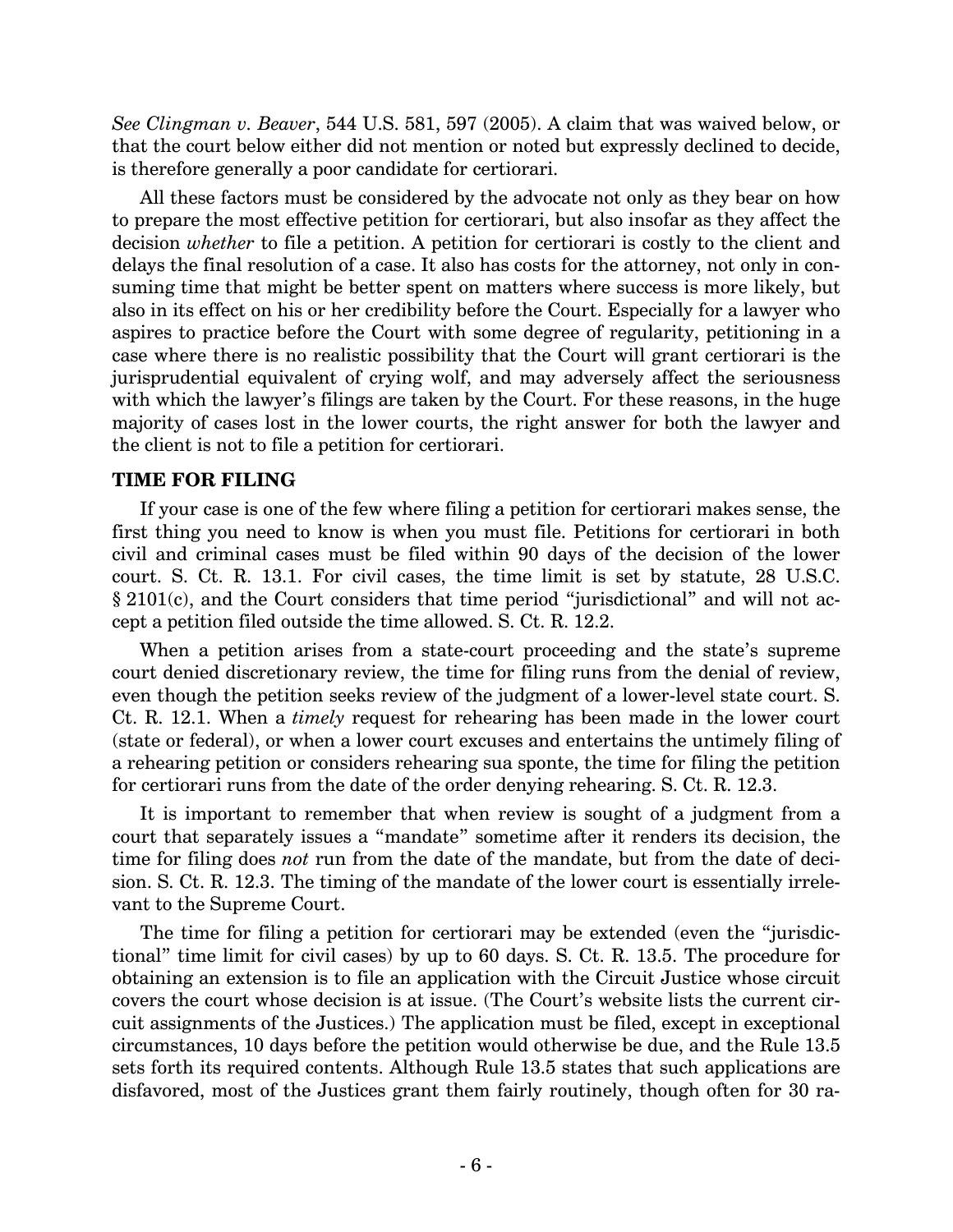*See Clingman v. Beaver*, 544 U.S. 581, 597 (2005). A claim that was waived below, or that the court below either did not mention or noted but expressly declined to decide, is therefore generally a poor candidate for certiorari.

All these factors must be considered by the advocate not only as they bear on how to prepare the most effective petition for certiorari, but also insofar as they affect the decision *whether* to file a petition. A petition for certiorari is costly to the client and delays the final resolution of a case. It also has costs for the attorney, not only in consuming time that might be better spent on matters where success is more likely, but also in its effect on his or her credibility before the Court. Especially for a lawyer who aspires to practice before the Court with some degree of regularity, petitioning in a case where there is no realistic possibility that the Court will grant certiorari is the jurisprudential equivalent of crying wolf, and may adversely affect the seriousness with which the lawyer's filings are taken by the Court. For these reasons, in the huge majority of cases lost in the lower courts, the right answer for both the lawyer and the client is not to file a petition for certiorari.

## **TIME FOR FILING**

If your case is one of the few where filing a petition for certiorari makes sense, the first thing you need to know is when you must file. Petitions for certiorari in both civil and criminal cases must be filed within 90 days of the decision of the lower court. S. Ct. R. 13.1. For civil cases, the time limit is set by statute, 28 U.S.C. § 2101(c), and the Court considers that time period "jurisdictional" and will not accept a petition filed outside the time allowed. S. Ct. R. 12.2.

When a petition arises from a state-court proceeding and the state's supreme court denied discretionary review, the time for filing runs from the denial of review, even though the petition seeks review of the judgment of a lower-level state court. S. Ct. R. 12.1. When a *timely* request for rehearing has been made in the lower court (state or federal), or when a lower court excuses and entertains the untimely filing of a rehearing petition or considers rehearing sua sponte, the time for filing the petition for certiorari runs from the date of the order denying rehearing. S. Ct. R. 12.3.

It is important to remember that when review is sought of a judgment from a court that separately issues a "mandate" sometime after it renders its decision, the time for filing does *not* run from the date of the mandate, but from the date of decision. S. Ct. R. 12.3. The timing of the mandate of the lower court is essentially irrelevant to the Supreme Court.

The time for filing a petition for certiorari may be extended (even the "jurisdictional" time limit for civil cases) by up to 60 days. S. Ct. R. 13.5. The procedure for obtaining an extension is to file an application with the Circuit Justice whose circuit covers the court whose decision is at issue. (The Court's website lists the current circuit assignments of the Justices.) The application must be filed, except in exceptional circumstances, 10 days before the petition would otherwise be due, and the Rule 13.5 sets forth its required contents. Although Rule 13.5 states that such applications are disfavored, most of the Justices grant them fairly routinely, though often for 30 ra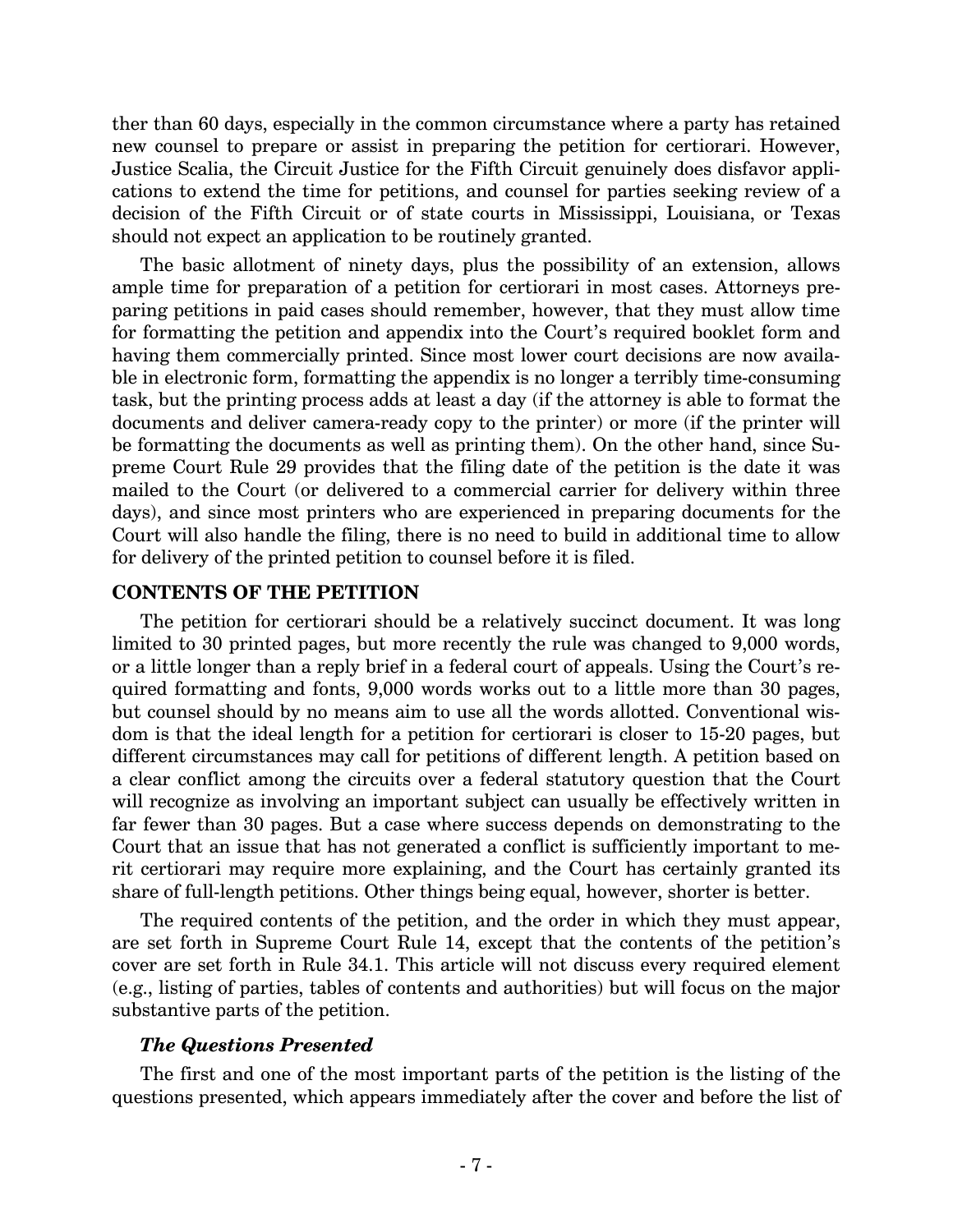ther than 60 days, especially in the common circumstance where a party has retained new counsel to prepare or assist in preparing the petition for certiorari. However, Justice Scalia, the Circuit Justice for the Fifth Circuit genuinely does disfavor applications to extend the time for petitions, and counsel for parties seeking review of a decision of the Fifth Circuit or of state courts in Mississippi, Louisiana, or Texas should not expect an application to be routinely granted.

The basic allotment of ninety days, plus the possibility of an extension, allows ample time for preparation of a petition for certiorari in most cases. Attorneys preparing petitions in paid cases should remember, however, that they must allow time for formatting the petition and appendix into the Court's required booklet form and having them commercially printed. Since most lower court decisions are now available in electronic form, formatting the appendix is no longer a terribly time-consuming task, but the printing process adds at least a day (if the attorney is able to format the documents and deliver camera-ready copy to the printer) or more (if the printer will be formatting the documents as well as printing them). On the other hand, since Supreme Court Rule 29 provides that the filing date of the petition is the date it was mailed to the Court (or delivered to a commercial carrier for delivery within three days), and since most printers who are experienced in preparing documents for the Court will also handle the filing, there is no need to build in additional time to allow for delivery of the printed petition to counsel before it is filed.

## **CONTENTS OF THE PETITION**

The petition for certiorari should be a relatively succinct document. It was long limited to 30 printed pages, but more recently the rule was changed to 9,000 words, or a little longer than a reply brief in a federal court of appeals. Using the Court's required formatting and fonts, 9,000 words works out to a little more than 30 pages, but counsel should by no means aim to use all the words allotted. Conventional wisdom is that the ideal length for a petition for certiorari is closer to 15-20 pages, but different circumstances may call for petitions of different length. A petition based on a clear conflict among the circuits over a federal statutory question that the Court will recognize as involving an important subject can usually be effectively written in far fewer than 30 pages. But a case where success depends on demonstrating to the Court that an issue that has not generated a conflict is sufficiently important to merit certiorari may require more explaining, and the Court has certainly granted its share of full-length petitions. Other things being equal, however, shorter is better.

The required contents of the petition, and the order in which they must appear, are set forth in Supreme Court Rule 14, except that the contents of the petition's cover are set forth in Rule 34.1. This article will not discuss every required element (e.g., listing of parties, tables of contents and authorities) but will focus on the major substantive parts of the petition.

## *The Questions Presented*

The first and one of the most important parts of the petition is the listing of the questions presented, which appears immediately after the cover and before the list of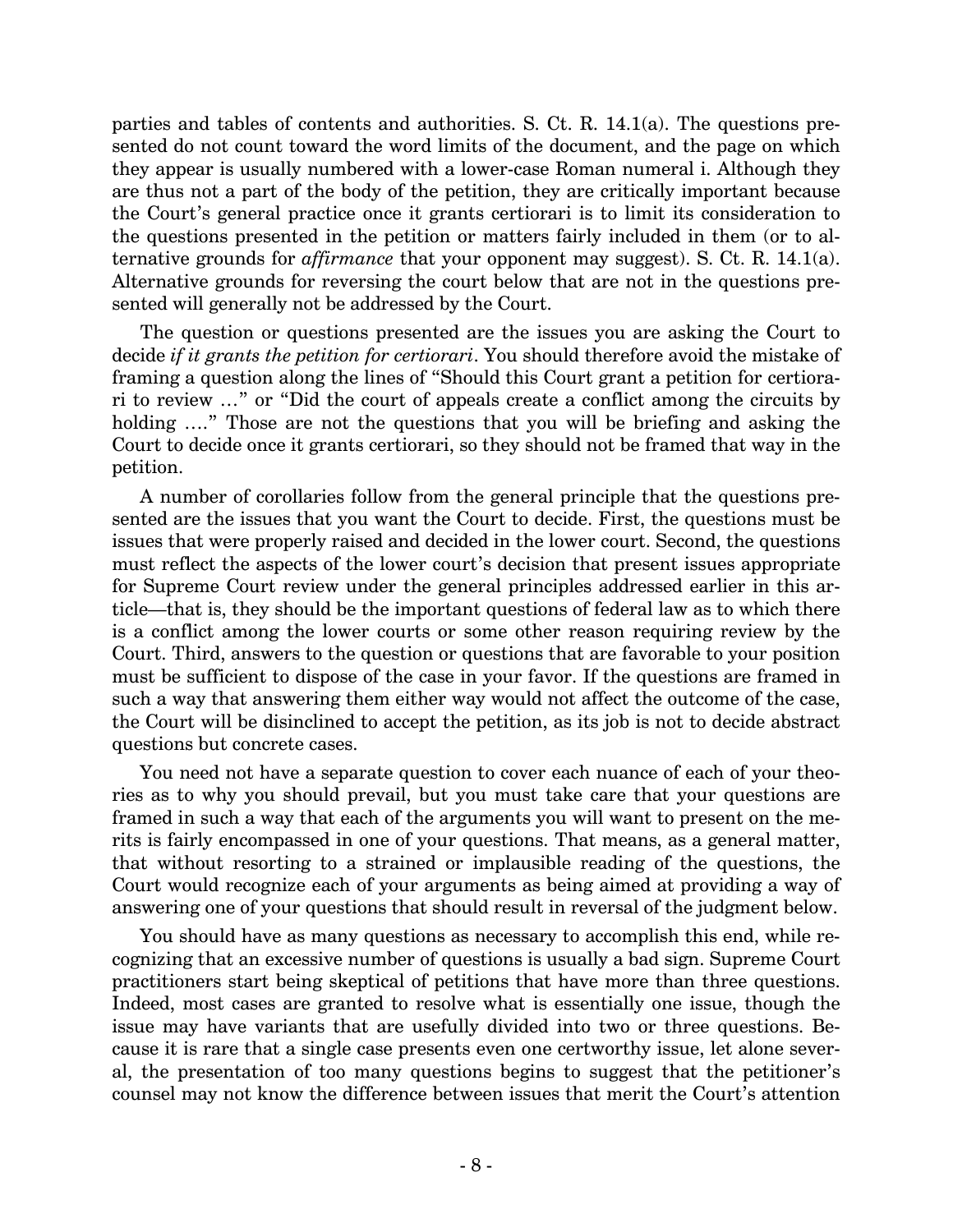parties and tables of contents and authorities. S. Ct. R. 14.1(a). The questions presented do not count toward the word limits of the document, and the page on which they appear is usually numbered with a lower-case Roman numeral i. Although they are thus not a part of the body of the petition, they are critically important because the Court's general practice once it grants certiorari is to limit its consideration to the questions presented in the petition or matters fairly included in them (or to alternative grounds for *affirmance* that your opponent may suggest). S. Ct. R. 14.1(a). Alternative grounds for reversing the court below that are not in the questions presented will generally not be addressed by the Court.

The question or questions presented are the issues you are asking the Court to decide *if it grants the petition for certiorari*. You should therefore avoid the mistake of framing a question along the lines of "Should this Court grant a petition for certiorari to review …" or "Did the court of appeals create a conflict among the circuits by holding  $\ldots$ " Those are not the questions that you will be briefing and asking the Court to decide once it grants certiorari, so they should not be framed that way in the petition.

A number of corollaries follow from the general principle that the questions presented are the issues that you want the Court to decide. First, the questions must be issues that were properly raised and decided in the lower court. Second, the questions must reflect the aspects of the lower court's decision that present issues appropriate for Supreme Court review under the general principles addressed earlier in this article—that is, they should be the important questions of federal law as to which there is a conflict among the lower courts or some other reason requiring review by the Court. Third, answers to the question or questions that are favorable to your position must be sufficient to dispose of the case in your favor. If the questions are framed in such a way that answering them either way would not affect the outcome of the case, the Court will be disinclined to accept the petition, as its job is not to decide abstract questions but concrete cases.

You need not have a separate question to cover each nuance of each of your theories as to why you should prevail, but you must take care that your questions are framed in such a way that each of the arguments you will want to present on the merits is fairly encompassed in one of your questions. That means, as a general matter, that without resorting to a strained or implausible reading of the questions, the Court would recognize each of your arguments as being aimed at providing a way of answering one of your questions that should result in reversal of the judgment below.

You should have as many questions as necessary to accomplish this end, while recognizing that an excessive number of questions is usually a bad sign. Supreme Court practitioners start being skeptical of petitions that have more than three questions. Indeed, most cases are granted to resolve what is essentially one issue, though the issue may have variants that are usefully divided into two or three questions. Because it is rare that a single case presents even one certworthy issue, let alone several, the presentation of too many questions begins to suggest that the petitioner's counsel may not know the difference between issues that merit the Court's attention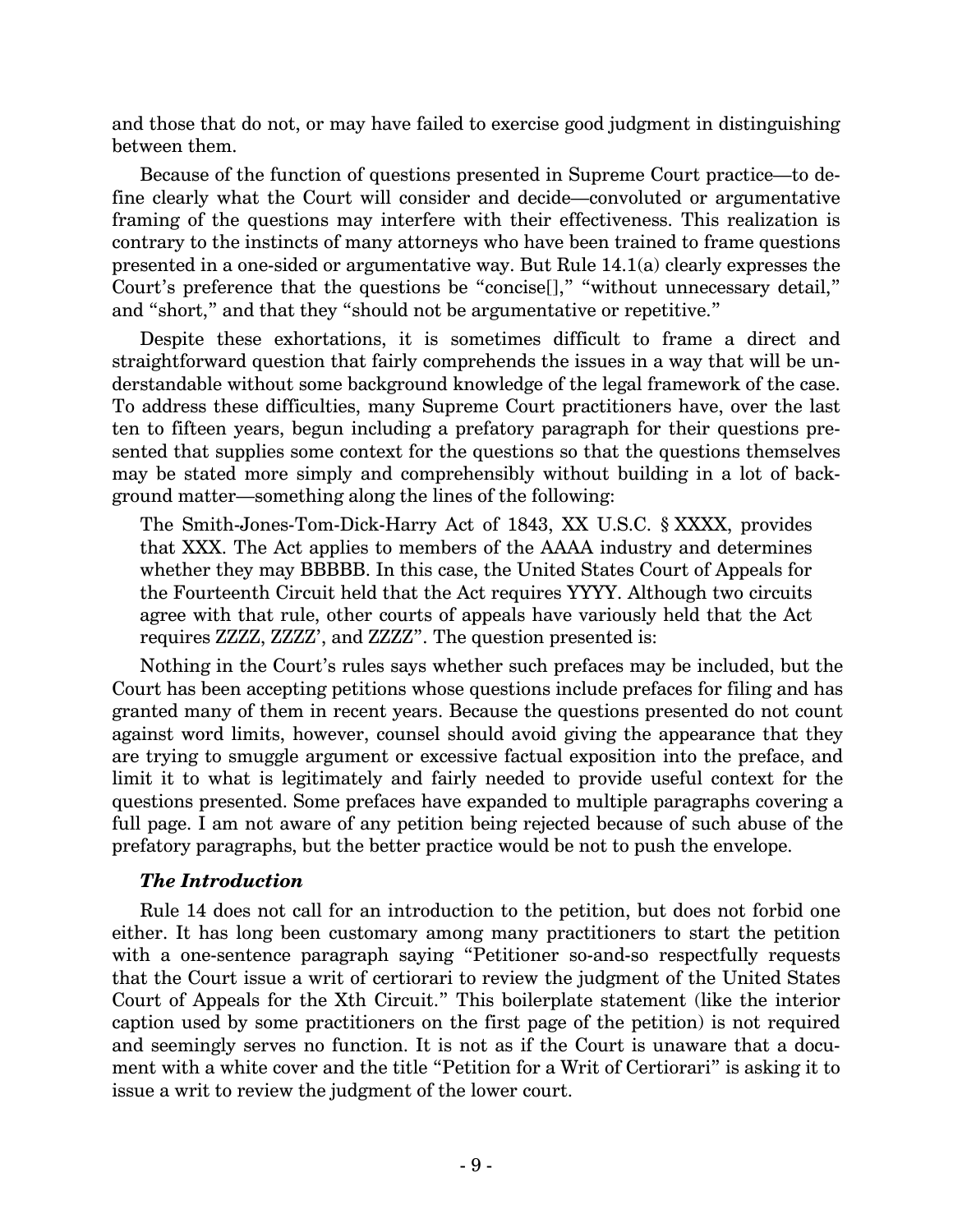and those that do not, or may have failed to exercise good judgment in distinguishing between them.

Because of the function of questions presented in Supreme Court practice—to define clearly what the Court will consider and decide—convoluted or argumentative framing of the questions may interfere with their effectiveness. This realization is contrary to the instincts of many attorneys who have been trained to frame questions presented in a one-sided or argumentative way. But Rule 14.1(a) clearly expresses the Court's preference that the questions be "concise[]," "without unnecessary detail," and "short," and that they "should not be argumentative or repetitive."

Despite these exhortations, it is sometimes difficult to frame a direct and straightforward question that fairly comprehends the issues in a way that will be understandable without some background knowledge of the legal framework of the case. To address these difficulties, many Supreme Court practitioners have, over the last ten to fifteen years, begun including a prefatory paragraph for their questions presented that supplies some context for the questions so that the questions themselves may be stated more simply and comprehensibly without building in a lot of background matter—something along the lines of the following:

The Smith-Jones-Tom-Dick-Harry Act of 1843, XX U.S.C. § XXXX, provides that XXX. The Act applies to members of the AAAA industry and determines whether they may BBBBB. In this case, the United States Court of Appeals for the Fourteenth Circuit held that the Act requires YYYY. Although two circuits agree with that rule, other courts of appeals have variously held that the Act requires ZZZZ, ZZZZ', and ZZZZ". The question presented is:

Nothing in the Court's rules says whether such prefaces may be included, but the Court has been accepting petitions whose questions include prefaces for filing and has granted many of them in recent years. Because the questions presented do not count against word limits, however, counsel should avoid giving the appearance that they are trying to smuggle argument or excessive factual exposition into the preface, and limit it to what is legitimately and fairly needed to provide useful context for the questions presented. Some prefaces have expanded to multiple paragraphs covering a full page. I am not aware of any petition being rejected because of such abuse of the prefatory paragraphs, but the better practice would be not to push the envelope.

## *The Introduction*

Rule 14 does not call for an introduction to the petition, but does not forbid one either. It has long been customary among many practitioners to start the petition with a one-sentence paragraph saying "Petitioner so-and-so respectfully requests that the Court issue a writ of certiorari to review the judgment of the United States Court of Appeals for the Xth Circuit." This boilerplate statement (like the interior caption used by some practitioners on the first page of the petition) is not required and seemingly serves no function. It is not as if the Court is unaware that a document with a white cover and the title "Petition for a Writ of Certiorari" is asking it to issue a writ to review the judgment of the lower court.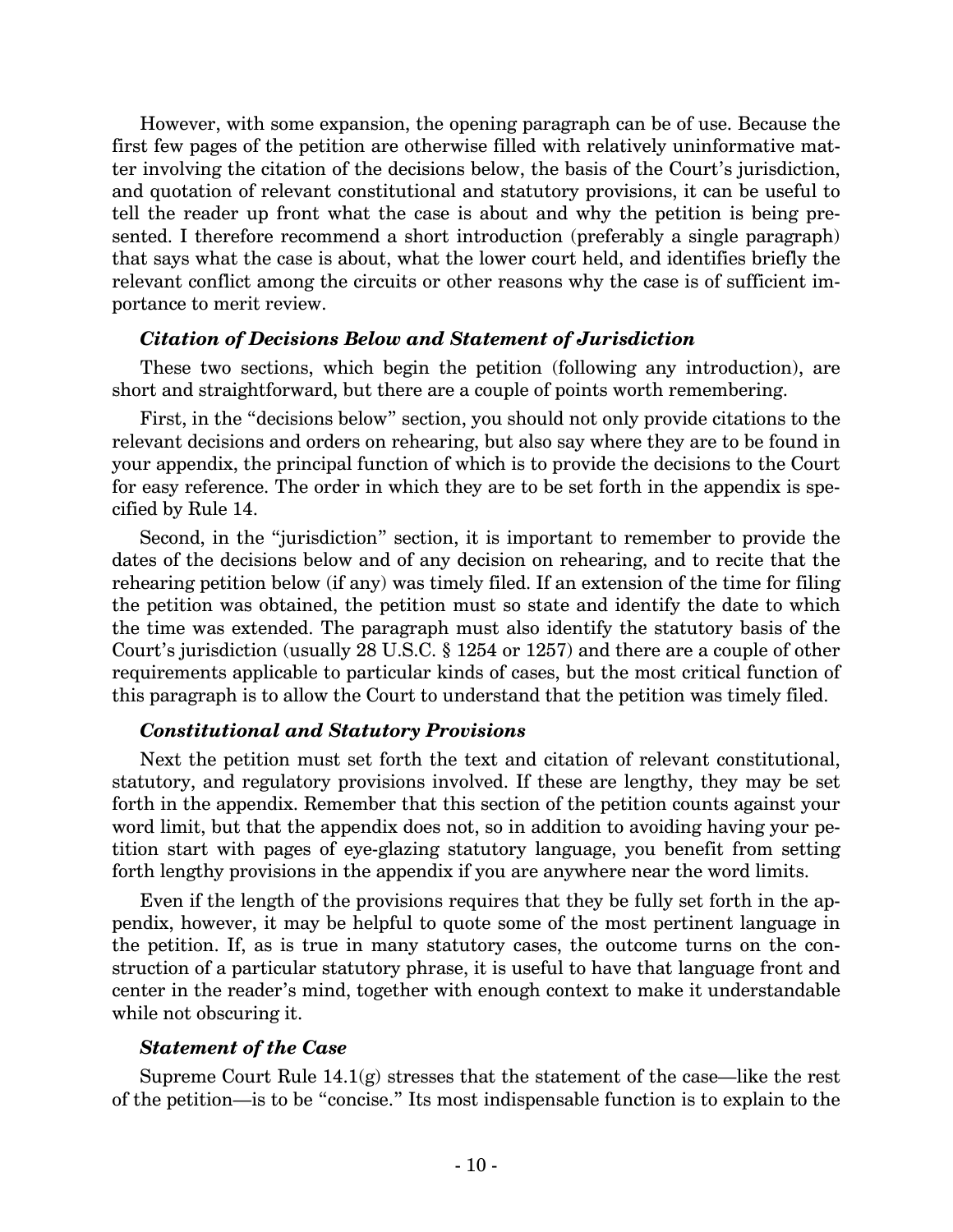However, with some expansion, the opening paragraph can be of use. Because the first few pages of the petition are otherwise filled with relatively uninformative matter involving the citation of the decisions below, the basis of the Court's jurisdiction, and quotation of relevant constitutional and statutory provisions, it can be useful to tell the reader up front what the case is about and why the petition is being presented. I therefore recommend a short introduction (preferably a single paragraph) that says what the case is about, what the lower court held, and identifies briefly the relevant conflict among the circuits or other reasons why the case is of sufficient importance to merit review.

#### *Citation of Decisions Below and Statement of Jurisdiction*

These two sections, which begin the petition (following any introduction), are short and straightforward, but there are a couple of points worth remembering.

First, in the "decisions below" section, you should not only provide citations to the relevant decisions and orders on rehearing, but also say where they are to be found in your appendix, the principal function of which is to provide the decisions to the Court for easy reference. The order in which they are to be set forth in the appendix is specified by Rule 14.

Second, in the "jurisdiction" section, it is important to remember to provide the dates of the decisions below and of any decision on rehearing, and to recite that the rehearing petition below (if any) was timely filed. If an extension of the time for filing the petition was obtained, the petition must so state and identify the date to which the time was extended. The paragraph must also identify the statutory basis of the Court's jurisdiction (usually 28 U.S.C. § 1254 or 1257) and there are a couple of other requirements applicable to particular kinds of cases, but the most critical function of this paragraph is to allow the Court to understand that the petition was timely filed.

#### *Constitutional and Statutory Provisions*

Next the petition must set forth the text and citation of relevant constitutional, statutory, and regulatory provisions involved. If these are lengthy, they may be set forth in the appendix. Remember that this section of the petition counts against your word limit, but that the appendix does not, so in addition to avoiding having your petition start with pages of eye-glazing statutory language, you benefit from setting forth lengthy provisions in the appendix if you are anywhere near the word limits.

Even if the length of the provisions requires that they be fully set forth in the appendix, however, it may be helpful to quote some of the most pertinent language in the petition. If, as is true in many statutory cases, the outcome turns on the construction of a particular statutory phrase, it is useful to have that language front and center in the reader's mind, together with enough context to make it understandable while not obscuring it.

#### *Statement of the Case*

Supreme Court Rule  $14.1(g)$  stresses that the statement of the case—like the rest of the petition—is to be "concise." Its most indispensable function is to explain to the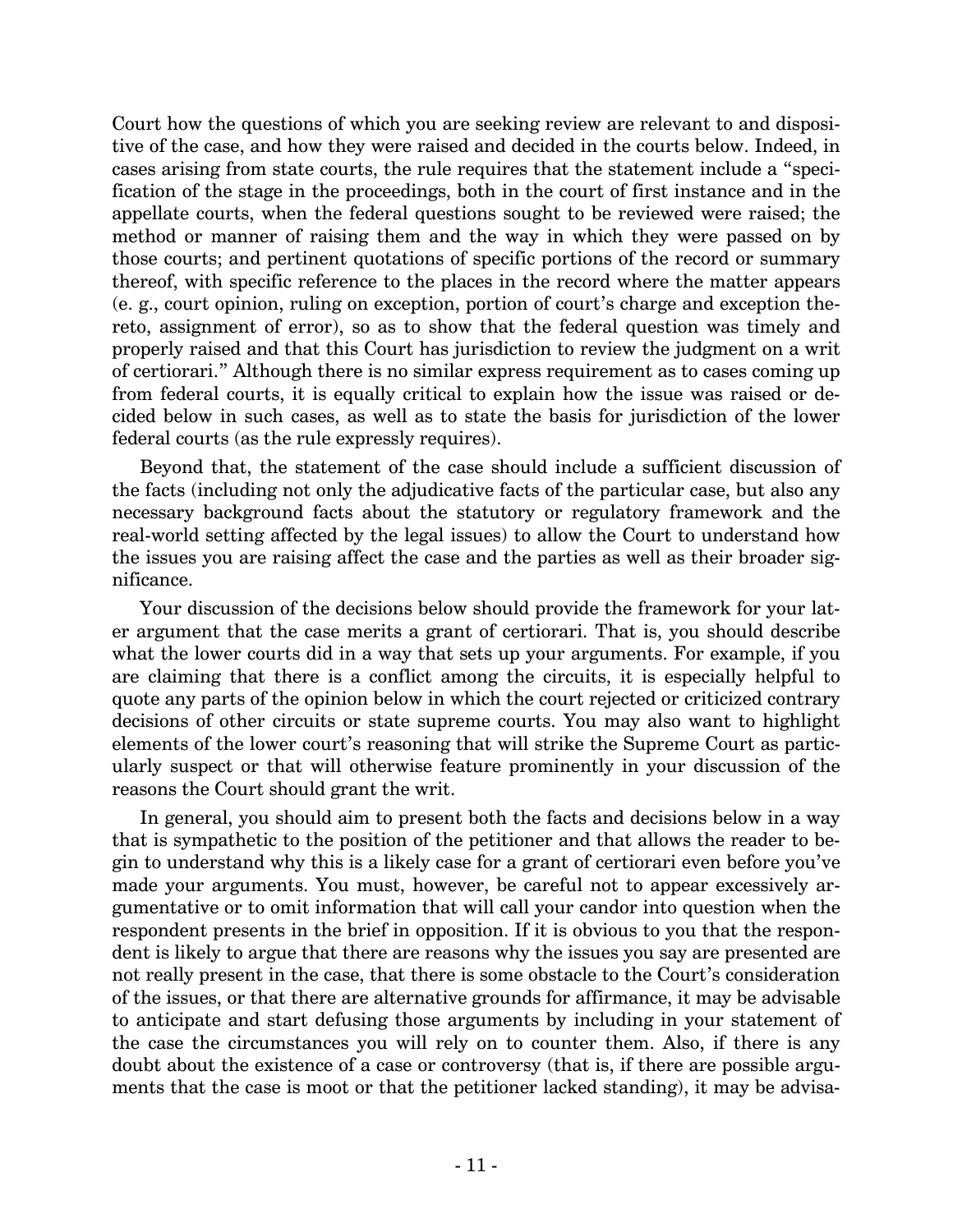Court how the questions of which you are seeking review are relevant to and dispositive of the case, and how they were raised and decided in the courts below. Indeed, in cases arising from state courts, the rule requires that the statement include a "specification of the stage in the proceedings, both in the court of first instance and in the appellate courts, when the federal questions sought to be reviewed were raised; the method or manner of raising them and the way in which they were passed on by those courts; and pertinent quotations of specific portions of the record or summary thereof, with specific reference to the places in the record where the matter appears (e. g., court opinion, ruling on exception, portion of court's charge and exception thereto, assignment of error), so as to show that the federal question was timely and properly raised and that this Court has jurisdiction to review the judgment on a writ of certiorari." Although there is no similar express requirement as to cases coming up from federal courts, it is equally critical to explain how the issue was raised or decided below in such cases, as well as to state the basis for jurisdiction of the lower federal courts (as the rule expressly requires).

Beyond that, the statement of the case should include a sufficient discussion of the facts (including not only the adjudicative facts of the particular case, but also any necessary background facts about the statutory or regulatory framework and the real-world setting affected by the legal issues) to allow the Court to understand how the issues you are raising affect the case and the parties as well as their broader significance.

Your discussion of the decisions below should provide the framework for your later argument that the case merits a grant of certiorari. That is, you should describe what the lower courts did in a way that sets up your arguments. For example, if you are claiming that there is a conflict among the circuits, it is especially helpful to quote any parts of the opinion below in which the court rejected or criticized contrary decisions of other circuits or state supreme courts. You may also want to highlight elements of the lower court's reasoning that will strike the Supreme Court as particularly suspect or that will otherwise feature prominently in your discussion of the reasons the Court should grant the writ.

In general, you should aim to present both the facts and decisions below in a way that is sympathetic to the position of the petitioner and that allows the reader to begin to understand why this is a likely case for a grant of certiorari even before you've made your arguments. You must, however, be careful not to appear excessively argumentative or to omit information that will call your candor into question when the respondent presents in the brief in opposition. If it is obvious to you that the respondent is likely to argue that there are reasons why the issues you say are presented are not really present in the case, that there is some obstacle to the Court's consideration of the issues, or that there are alternative grounds for affirmance, it may be advisable to anticipate and start defusing those arguments by including in your statement of the case the circumstances you will rely on to counter them. Also, if there is any doubt about the existence of a case or controversy (that is, if there are possible arguments that the case is moot or that the petitioner lacked standing), it may be advisa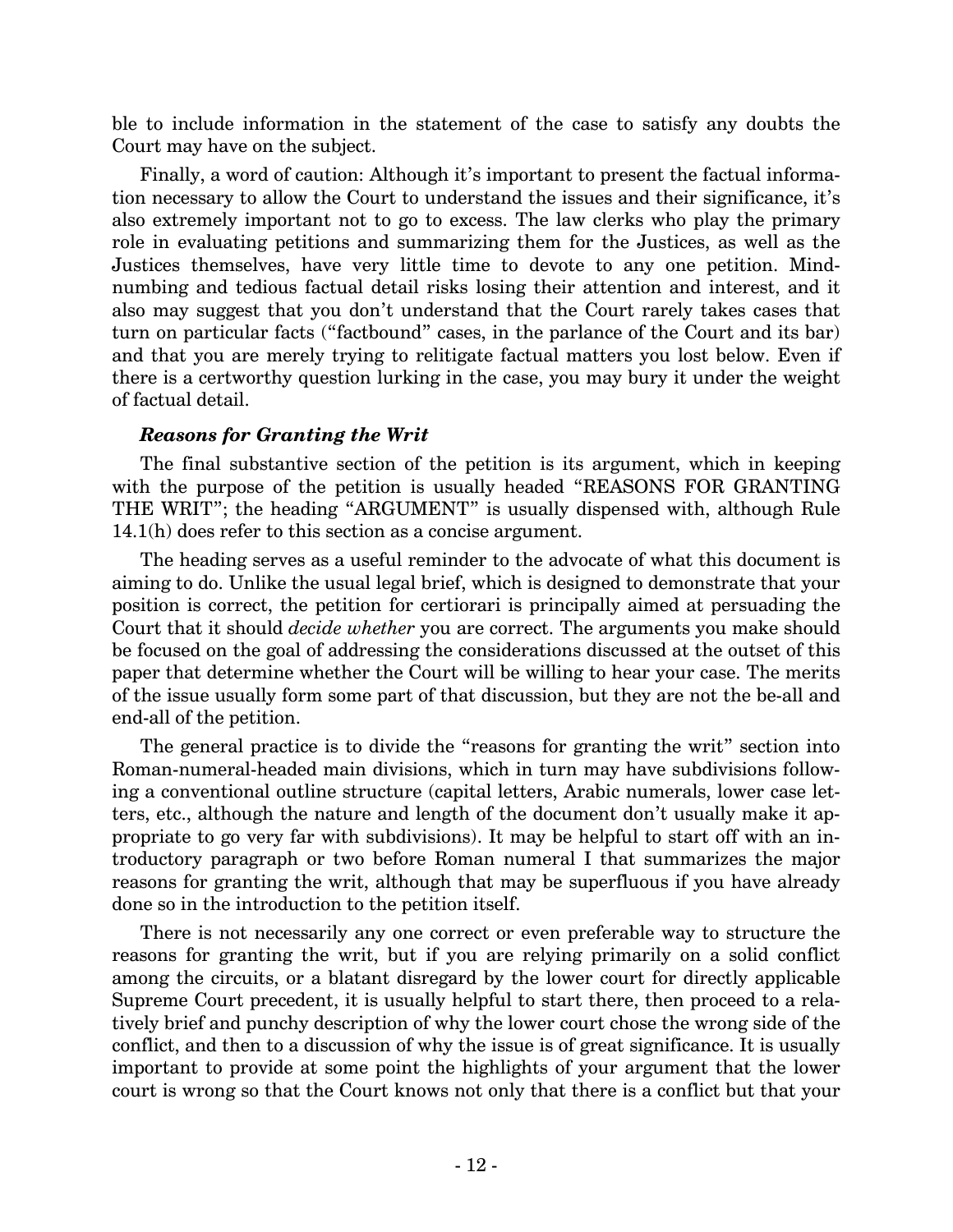ble to include information in the statement of the case to satisfy any doubts the Court may have on the subject.

Finally, a word of caution: Although it's important to present the factual information necessary to allow the Court to understand the issues and their significance, it's also extremely important not to go to excess. The law clerks who play the primary role in evaluating petitions and summarizing them for the Justices, as well as the Justices themselves, have very little time to devote to any one petition. Mindnumbing and tedious factual detail risks losing their attention and interest, and it also may suggest that you don't understand that the Court rarely takes cases that turn on particular facts ("factbound" cases, in the parlance of the Court and its bar) and that you are merely trying to relitigate factual matters you lost below. Even if there is a certworthy question lurking in the case, you may bury it under the weight of factual detail.

## *Reasons for Granting the Writ*

The final substantive section of the petition is its argument, which in keeping with the purpose of the petition is usually headed "REASONS FOR GRANTING THE WRIT"; the heading "ARGUMENT" is usually dispensed with, although Rule 14.1(h) does refer to this section as a concise argument.

The heading serves as a useful reminder to the advocate of what this document is aiming to do. Unlike the usual legal brief, which is designed to demonstrate that your position is correct, the petition for certiorari is principally aimed at persuading the Court that it should *decide whether* you are correct. The arguments you make should be focused on the goal of addressing the considerations discussed at the outset of this paper that determine whether the Court will be willing to hear your case. The merits of the issue usually form some part of that discussion, but they are not the be-all and end-all of the petition.

The general practice is to divide the "reasons for granting the writ" section into Roman-numeral-headed main divisions, which in turn may have subdivisions following a conventional outline structure (capital letters, Arabic numerals, lower case letters, etc., although the nature and length of the document don't usually make it appropriate to go very far with subdivisions). It may be helpful to start off with an introductory paragraph or two before Roman numeral I that summarizes the major reasons for granting the writ, although that may be superfluous if you have already done so in the introduction to the petition itself.

There is not necessarily any one correct or even preferable way to structure the reasons for granting the writ, but if you are relying primarily on a solid conflict among the circuits, or a blatant disregard by the lower court for directly applicable Supreme Court precedent, it is usually helpful to start there, then proceed to a relatively brief and punchy description of why the lower court chose the wrong side of the conflict, and then to a discussion of why the issue is of great significance. It is usually important to provide at some point the highlights of your argument that the lower court is wrong so that the Court knows not only that there is a conflict but that your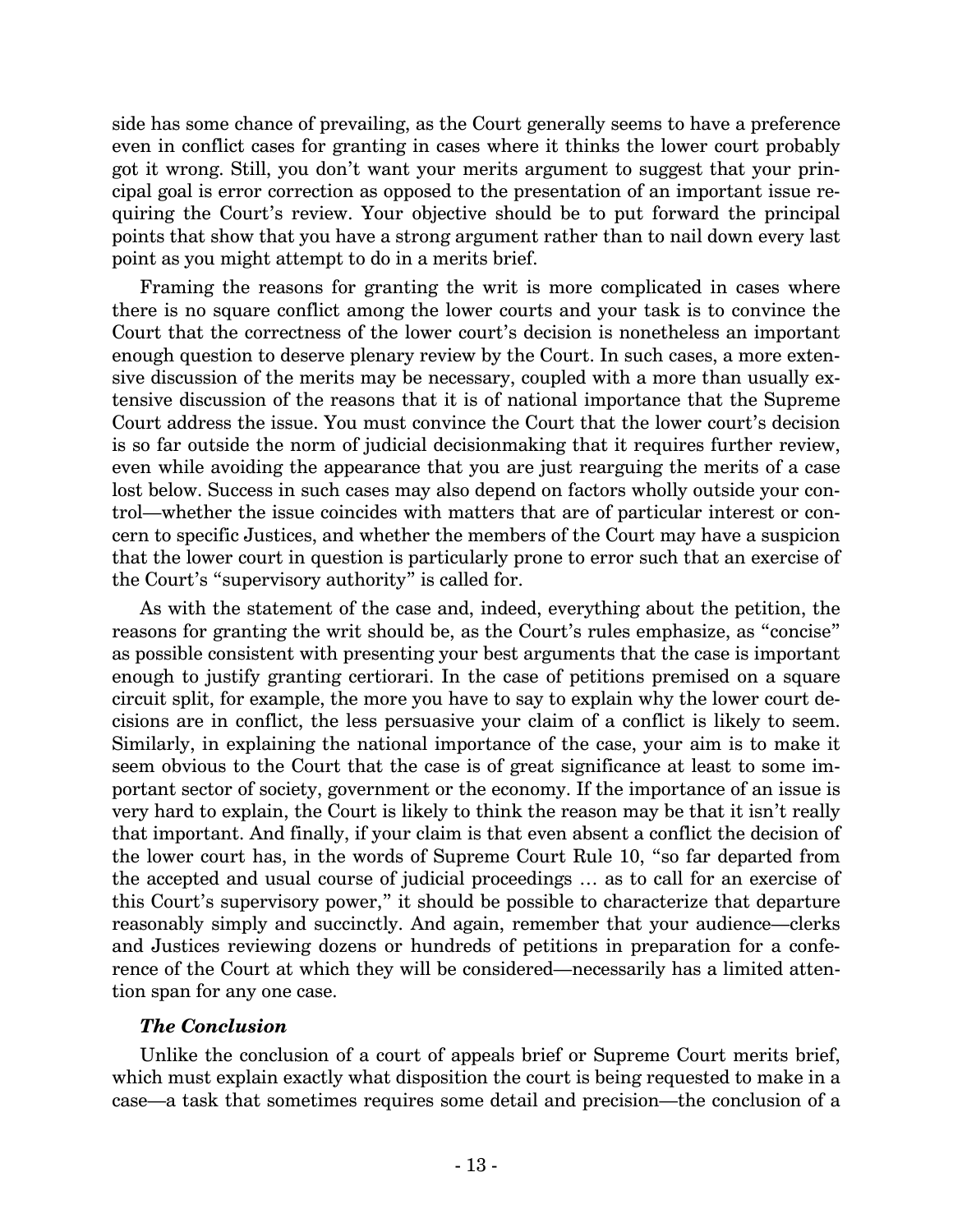side has some chance of prevailing, as the Court generally seems to have a preference even in conflict cases for granting in cases where it thinks the lower court probably got it wrong. Still, you don't want your merits argument to suggest that your principal goal is error correction as opposed to the presentation of an important issue requiring the Court's review. Your objective should be to put forward the principal points that show that you have a strong argument rather than to nail down every last point as you might attempt to do in a merits brief.

Framing the reasons for granting the writ is more complicated in cases where there is no square conflict among the lower courts and your task is to convince the Court that the correctness of the lower court's decision is nonetheless an important enough question to deserve plenary review by the Court. In such cases, a more extensive discussion of the merits may be necessary, coupled with a more than usually extensive discussion of the reasons that it is of national importance that the Supreme Court address the issue. You must convince the Court that the lower court's decision is so far outside the norm of judicial decisionmaking that it requires further review, even while avoiding the appearance that you are just rearguing the merits of a case lost below. Success in such cases may also depend on factors wholly outside your control—whether the issue coincides with matters that are of particular interest or concern to specific Justices, and whether the members of the Court may have a suspicion that the lower court in question is particularly prone to error such that an exercise of the Court's "supervisory authority" is called for.

As with the statement of the case and, indeed, everything about the petition, the reasons for granting the writ should be, as the Court's rules emphasize, as "concise" as possible consistent with presenting your best arguments that the case is important enough to justify granting certiorari. In the case of petitions premised on a square circuit split, for example, the more you have to say to explain why the lower court decisions are in conflict, the less persuasive your claim of a conflict is likely to seem. Similarly, in explaining the national importance of the case, your aim is to make it seem obvious to the Court that the case is of great significance at least to some important sector of society, government or the economy. If the importance of an issue is very hard to explain, the Court is likely to think the reason may be that it isn't really that important. And finally, if your claim is that even absent a conflict the decision of the lower court has, in the words of Supreme Court Rule 10, "so far departed from the accepted and usual course of judicial proceedings … as to call for an exercise of this Court's supervisory power," it should be possible to characterize that departure reasonably simply and succinctly. And again, remember that your audience—clerks and Justices reviewing dozens or hundreds of petitions in preparation for a conference of the Court at which they will be considered—necessarily has a limited attention span for any one case.

#### *The Conclusion*

Unlike the conclusion of a court of appeals brief or Supreme Court merits brief, which must explain exactly what disposition the court is being requested to make in a case—a task that sometimes requires some detail and precision—the conclusion of a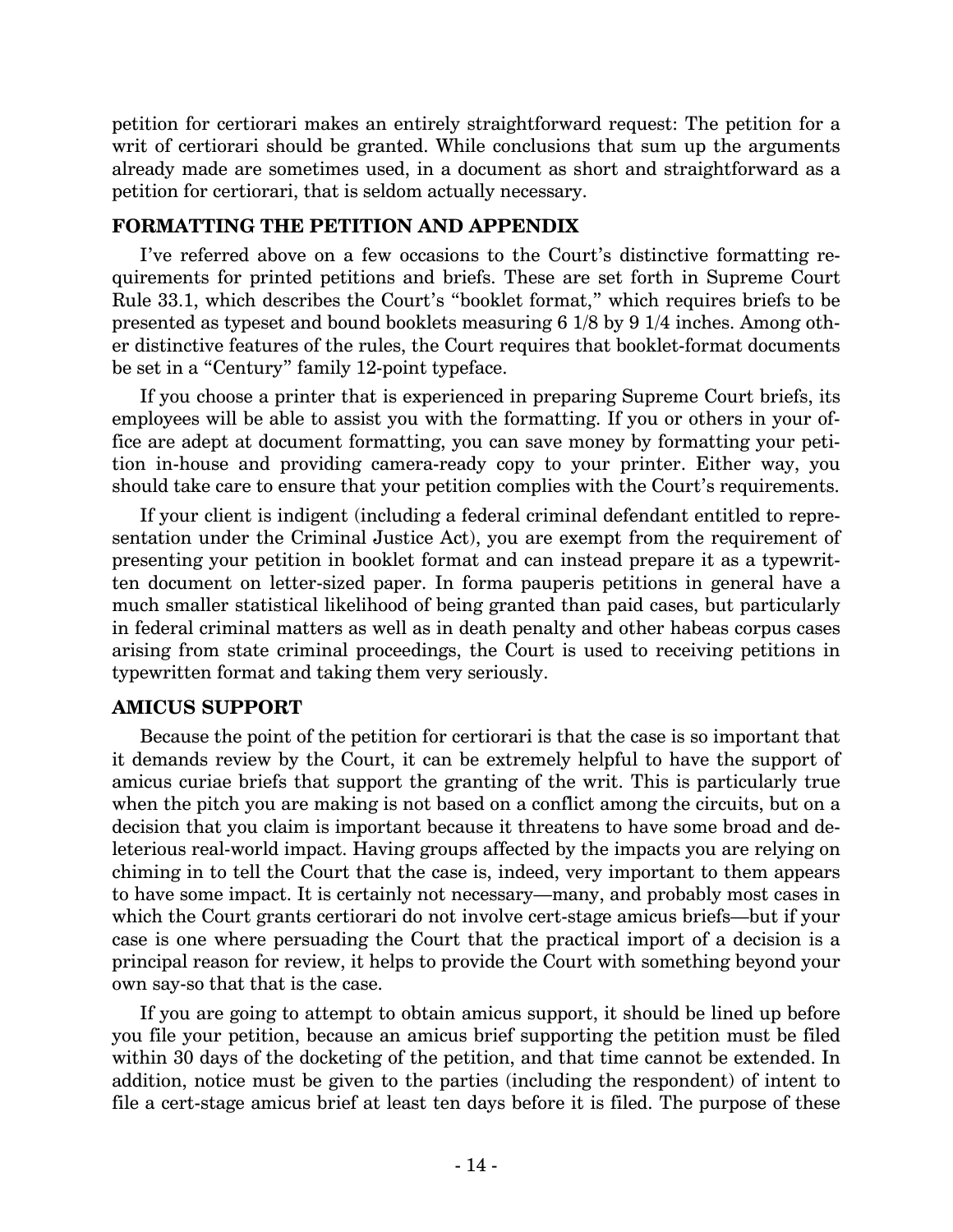petition for certiorari makes an entirely straightforward request: The petition for a writ of certiorari should be granted. While conclusions that sum up the arguments already made are sometimes used, in a document as short and straightforward as a petition for certiorari, that is seldom actually necessary.

# **FORMATTING THE PETITION AND APPENDIX**

I've referred above on a few occasions to the Court's distinctive formatting requirements for printed petitions and briefs. These are set forth in Supreme Court Rule 33.1, which describes the Court's "booklet format," which requires briefs to be presented as typeset and bound booklets measuring 6 1/8 by 9 1/4 inches. Among other distinctive features of the rules, the Court requires that booklet-format documents be set in a "Century" family 12-point typeface.

If you choose a printer that is experienced in preparing Supreme Court briefs, its employees will be able to assist you with the formatting. If you or others in your office are adept at document formatting, you can save money by formatting your petition in-house and providing camera-ready copy to your printer. Either way, you should take care to ensure that your petition complies with the Court's requirements.

If your client is indigent (including a federal criminal defendant entitled to representation under the Criminal Justice Act), you are exempt from the requirement of presenting your petition in booklet format and can instead prepare it as a typewritten document on letter-sized paper. In forma pauperis petitions in general have a much smaller statistical likelihood of being granted than paid cases, but particularly in federal criminal matters as well as in death penalty and other habeas corpus cases arising from state criminal proceedings, the Court is used to receiving petitions in typewritten format and taking them very seriously.

# **AMICUS SUPPORT**

Because the point of the petition for certiorari is that the case is so important that it demands review by the Court, it can be extremely helpful to have the support of amicus curiae briefs that support the granting of the writ. This is particularly true when the pitch you are making is not based on a conflict among the circuits, but on a decision that you claim is important because it threatens to have some broad and deleterious real-world impact. Having groups affected by the impacts you are relying on chiming in to tell the Court that the case is, indeed, very important to them appears to have some impact. It is certainly not necessary—many, and probably most cases in which the Court grants certiorari do not involve cert-stage amicus briefs—but if your case is one where persuading the Court that the practical import of a decision is a principal reason for review, it helps to provide the Court with something beyond your own say-so that that is the case.

If you are going to attempt to obtain amicus support, it should be lined up before you file your petition, because an amicus brief supporting the petition must be filed within 30 days of the docketing of the petition, and that time cannot be extended. In addition, notice must be given to the parties (including the respondent) of intent to file a cert-stage amicus brief at least ten days before it is filed. The purpose of these